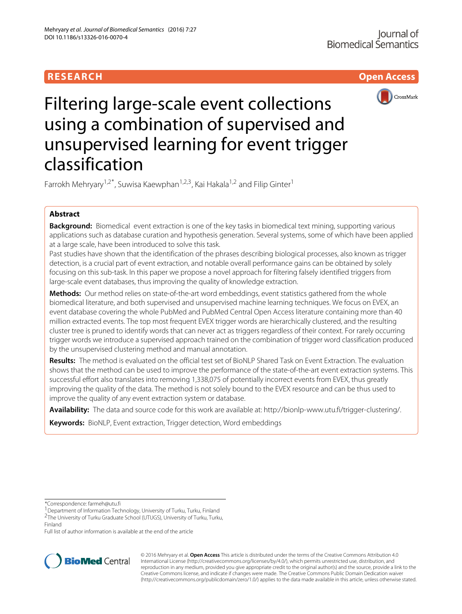# **RESEARCH Open Access**



# Filtering large-scale event collections using a combination of supervised and unsupervised learning for event trigger classification

Farrokh Mehryary<sup>1,2\*</sup>, Suwisa Kaewphan<sup>1,2,3</sup>, Kai Hakala<sup>1,2</sup> and Filip Ginter<sup>1</sup>

# **Abstract**

**Background:** Biomedical event extraction is one of the key tasks in biomedical text mining, supporting various applications such as database curation and hypothesis generation. Several systems, some of which have been applied at a large scale, have been introduced to solve this task.

Past studies have shown that the identification of the phrases describing biological processes, also known as trigger detection, is a crucial part of event extraction, and notable overall performance gains can be obtained by solely focusing on this sub-task. In this paper we propose a novel approach for filtering falsely identified triggers from large-scale event databases, thus improving the quality of knowledge extraction.

**Methods:** Our method relies on state-of-the-art word embeddings, event statistics gathered from the whole biomedical literature, and both supervised and unsupervised machine learning techniques. We focus on EVEX, an event database covering the whole PubMed and PubMed Central Open Access literature containing more than 40 million extracted events. The top most frequent EVEX trigger words are hierarchically clustered, and the resulting cluster tree is pruned to identify words that can never act as triggers regardless of their context. For rarely occurring trigger words we introduce a supervised approach trained on the combination of trigger word classification produced by the unsupervised clustering method and manual annotation.

**Results:** The method is evaluated on the official test set of BioNLP Shared Task on Event Extraction. The evaluation shows that the method can be used to improve the performance of the state-of-the-art event extraction systems. This successful effort also translates into removing 1,338,075 of potentially incorrect events from EVEX, thus greatly improving the quality of the data. The method is not solely bound to the EVEX resource and can be thus used to improve the quality of any event extraction system or database.

**Availability:** The data and source code for this work are available at: [http://bionlp-www.utu.fi/trigger-clustering/.](http://bionlp-www.utu.fi/trigger-clustering/)

**Keywords:** BioNLP, Event extraction, Trigger detection, Word embeddings

\*Correspondence: [farmeh@utu.fi](mailto: farmeh@utu.fi)

1Department of Information Technology, University of Turku, Turku, Finland 2The University of Turku Graduate School (UTUGS), University of Turku, Turku,

Finland

Full list of author information is available at the end of the article



© 2016 Mehryary et al. **Open Access** This article is distributed under the terms of the Creative Commons Attribution 4.0 International License [\(http://creativecommons.org/licenses/by/4.0/\)](http://creativecommons.org/licenses/by/4.0/), which permits unrestricted use, distribution, and reproduction in any medium, provided you give appropriate credit to the original author(s) and the source, provide a link to the Creative Commons license, and indicate if changes were made. The Creative Commons Public Domain Dedication waiver [\(http://creativecommons.org/publicdomain/zero/1.0/\)](http://creativecommons.org/publicdomain/zero/1.0/) applies to the data made available in this article, unless otherwise stated.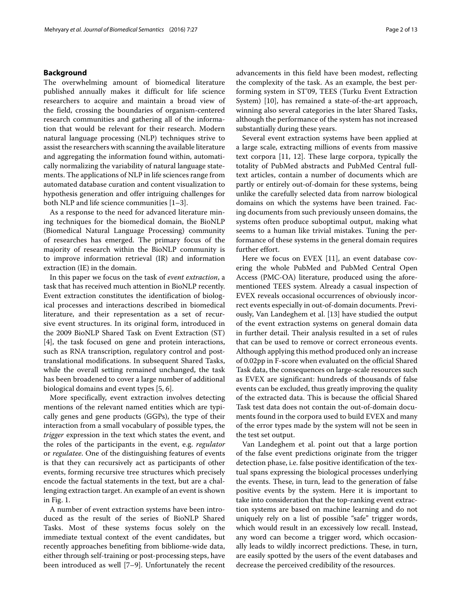#### **Background**

The overwhelming amount of biomedical literature published annually makes it difficult for life science researchers to acquire and maintain a broad view of the field, crossing the boundaries of organism-centered research communities and gathering all of the information that would be relevant for their research. Modern natural language processing (NLP) techniques strive to assist the researchers with scanning the available literature and aggregating the information found within, automatically normalizing the variability of natural language statements. The applications of NLP in life sciences range from automated database curation and content visualization to hypothesis generation and offer intriguing challenges for both NLP and life science communities [\[1](#page-11-0)[–3\]](#page-11-1).

As a response to the need for advanced literature mining techniques for the biomedical domain, the BioNLP (Biomedical Natural Language Processing) community of researches has emerged. The primary focus of the majority of research within the BioNLP community is to improve information retrieval (IR) and information extraction (IE) in the domain.

In this paper we focus on the task of *event extraction*, a task that has received much attention in BioNLP recently. Event extraction constitutes the identification of biological processes and interactions described in biomedical literature, and their representation as a set of recursive event structures. In its original form, introduced in the 2009 BioNLP Shared Task on Event Extraction (ST) [\[4\]](#page-11-2), the task focused on gene and protein interactions, such as RNA transcription, regulatory control and posttranslational modifications. In subsequent Shared Tasks, while the overall setting remained unchanged, the task has been broadened to cover a large number of additional biological domains and event types [\[5,](#page-11-3) [6\]](#page-11-4).

More specifically, event extraction involves detecting mentions of the relevant named entities which are typically genes and gene products (GGPs), the type of their interaction from a small vocabulary of possible types, the *trigger* expression in the text which states the event, and the roles of the participants in the event, e.g. *regulator* or *regulatee*. One of the distinguishing features of events is that they can recursively act as participants of other events, forming recursive tree structures which precisely encode the factual statements in the text, but are a challenging extraction target. An example of an event is shown in Fig. [1.](#page-2-0)

A number of event extraction systems have been introduced as the result of the series of BioNLP Shared Tasks. Most of these systems focus solely on the immediate textual context of the event candidates, but recently approaches benefiting from bibliome-wide data, either through self-training or post-processing steps, have been introduced as well [\[7–](#page-11-5)[9\]](#page-11-6). Unfortunately the recent

advancements in this field have been modest, reflecting the complexity of the task. As an example, the best performing system in ST'09, TEES (Turku Event Extraction System) [\[10\]](#page-11-7), has remained a state-of-the-art approach, winning also several categories in the later Shared Tasks, although the performance of the system has not increased substantially during these years.

Several event extraction systems have been applied at a large scale, extracting millions of events from massive text corpora [\[11,](#page-12-0) [12\]](#page-12-1). These large corpora, typically the totality of PubMed abstracts and PubMed Central fulltext articles, contain a number of documents which are partly or entirely out-of-domain for these systems, being unlike the carefully selected data from narrow biological domains on which the systems have been trained. Facing documents from such previously unseen domains, the systems often produce suboptimal output, making what seems to a human like trivial mistakes. Tuning the performance of these systems in the general domain requires further effort.

Here we focus on EVEX [\[11\]](#page-12-0), an event database covering the whole PubMed and PubMed Central Open Access (PMC-OA) literature, produced using the aforementioned TEES system. Already a casual inspection of EVEX reveals occasional occurrences of obviously incorrect events especially in out-of-domain documents. Previously, Van Landeghem et al. [\[13\]](#page-12-2) have studied the output of the event extraction systems on general domain data in further detail. Their analysis resulted in a set of rules that can be used to remove or correct erroneous events. Although applying this method produced only an increase of 0.02pp in F-score when evaluated on the official Shared Task data, the consequences on large-scale resources such as EVEX are significant: hundreds of thousands of false events can be excluded, thus greatly improving the quality of the extracted data. This is because the official Shared Task test data does not contain the out-of-domain documents found in the corpora used to build EVEX and many of the error types made by the system will not be seen in the test set output.

Van Landeghem et al. point out that a large portion of the false event predictions originate from the trigger detection phase, i.e. false positive identification of the textual spans expressing the biological processes underlying the events. These, in turn, lead to the generation of false positive events by the system. Here it is important to take into consideration that the top-ranking event extraction systems are based on machine learning and do not uniquely rely on a list of possible "safe" trigger words, which would result in an excessively low recall. Instead, any word can become a trigger word, which occasionally leads to wildly incorrect predictions. These, in turn, are easily spotted by the users of the event databases and decrease the perceived credibility of the resources.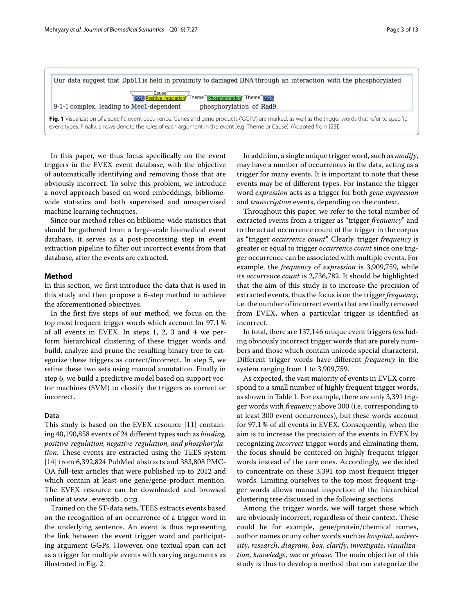

<span id="page-2-0"></span>In this paper, we thus focus specifically on the event triggers in the EVEX event database, with the objective of automatically identifying and removing those that are obviously incorrect. To solve this problem, we introduce a novel approach based on word embeddings, bibliomewide statistics and both supervised and unsupervised machine learning techniques.

Since our method relies on bibliome-wide statistics that should be gathered from a large-scale biomedical event database, it serves as a post-processing step in event extraction pipeline to filter out incorrect events from that database, after the events are extracted.

#### **Method**

In this section, we first introduce the data that is used in this study and then propose a 6-step method to achieve the aforementioned objectives.

In the first five steps of our method, we focus on the top most frequent trigger words which account for 97.1 % of all events in EVEX. In steps 1, 2, 3 and 4 we perform hierarchical clustering of these trigger words and build, analyze and prune the resulting binary tree to categorize these triggers as correct/incorrect. In step 5, we refine these two sets using manual annotation. Finally in step 6, we build a predictive model based on support vector machines (SVM) to classify the triggers as correct or incorrect.

#### **Data**

This study is based on the EVEX resource [\[11\]](#page-12-0) containing 40,190,858 events of 24 different types such as *binding, positive-regulation, negative-regulation, and phosphorylation*. These events are extracted using the TEES system [\[14\]](#page-12-4) from 6,392,824 PubMed abstracts and 383,808 PMC-OA full-text articles that were published up to 2012 and which contain at least one gene/gene-product mention. The EVEX resource can be downloaded and browsed online at <www.evexdb.org>.

Trained on the ST-data sets, TEES extracts events based on the recognition of an occurrence of a trigger word in the underlying sentence. An event is thus representing the link between the event trigger word and participating argument GGPs. However, one textual span can act as a trigger for multiple events with varying arguments as illustrated in Fig. [2.](#page-3-0)

In addition, a single unique trigger word, such as *modify*, may have a number of occurrences in the data, acting as a trigger for many events. It is important to note that these events may be of different types. For instance the trigger word *expression* acts as a trigger for both *gene-expression* and *transcription* events, depending on the context.

Throughout this paper, we refer to the total number of extracted events from a trigger as "trigger *frequency*" and to the actual occurrence count of the trigger in the corpus as "trigger *occurrence count*". Clearly, trigger *frequency* is greater or equal to trigger *occurrence count* since one trigger occurrence can be associated with multiple events. For example, the *frequency* of *expression* is 3,909,759, while its *occurrence count* is 2,736,782. It should be highlighted that the aim of this study is to increase the precision of extracted events, thus the focus is on the trigger*frequency*, i.e. the number of incorrect events that are finally removed from EVEX, when a particular trigger is identified as incorrect.

In total, there are 137,146 unique event triggers (excluding obviously incorrect trigger words that are purely numbers and those which contain unicode special characters). Different trigger words have different *frequency* in the system ranging from 1 to 3,909,759.

As expected, the vast majority of events in EVEX correspond to a small number of highly frequent trigger words, as shown in Table [1.](#page-3-1) For example, there are only 3,391 trigger words with *frequency* above 300 (i.e. corresponding to at least 300 event occurrences), but these words account for 97.1 % of all events in EVEX. Consequently, when the aim is to increase the precision of the events in EVEX by recognizing *incorrect* trigger words and eliminating them, the focus should be centered on highly frequent trigger words instead of the rare ones. Accordingly, we decided to concentrate on these 3,391 top most frequent trigger words. Limiting ourselves to the top most frequent trigger words allows manual inspection of the hierarchical clustering tree discussed in the following sections.

Among the trigger words, we will target those which are obviously incorrect, regardless of their context. These could be for example, gene/protein/chemical names, author names or any other words such as *hospital*, *university*, *research*, *diagram*, *box*, *clarify*, *investigate*, *visualization*, *knowledge*, *one* or *please*. The main objective of this study is thus to develop a method that can categorize the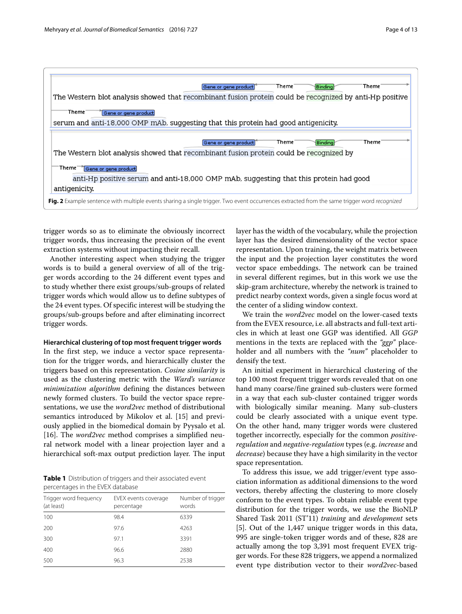

<span id="page-3-0"></span>trigger words so as to eliminate the obviously incorrect trigger words, thus increasing the precision of the event extraction systems without impacting their recall.

Another interesting aspect when studying the trigger words is to build a general overview of all of the trigger words according to the 24 different event types and to study whether there exist groups/sub-groups of related trigger words which would allow us to define subtypes of the 24 event types. Of specific interest will be studying the groups/sub-groups before and after eliminating incorrect trigger words.

#### **Hierarchical clustering of top most frequent trigger words**

<span id="page-3-2"></span>In the first step, we induce a vector space representation for the trigger words, and hierarchically cluster the triggers based on this representation. *Cosine similarity* is used as the clustering metric with the *Ward's variance minimization algorithm* defining the distances between newly formed clusters. To build the vector space representations, we use the *word2vec* method of distributional semantics introduced by Mikolov et al. [\[15\]](#page-12-5) and previously applied in the biomedical domain by Pyysalo et al. [\[16\]](#page-12-6). The *word2vec* method comprises a simplified neural network model with a linear projection layer and a hierarchical soft-max output prediction layer. The input

<span id="page-3-1"></span>**Table 1** Distribution of triggers and their associated event percentages in the EVEX database

| Trigger word frequency<br>(at least) | EVEX events coverage<br>percentage | Number of trigger<br>words |
|--------------------------------------|------------------------------------|----------------------------|
| 100                                  | 98.4                               | 6339                       |
| 200                                  | 97.6                               | 4263                       |
| 300                                  | 97.1                               | 3391                       |
| 400                                  | 96.6                               | 2880                       |
| 500                                  | 96.3                               | 2538                       |

layer has the width of the vocabulary, while the projection layer has the desired dimensionality of the vector space representation. Upon training, the weight matrix between the input and the projection layer constitutes the word vector space embeddings. The network can be trained in several different regimes, but in this work we use the skip-gram architecture, whereby the network is trained to predict nearby context words, given a single focus word at the center of a sliding window context.

We train the *word2vec* model on the lower-cased texts from the EVEX resource, i.e. all abstracts and full-text articles in which at least one GGP was identified. All *GGP* mentions in the texts are replaced with the *"ggp"* placeholder and all numbers with the *"num"* placeholder to densify the text.

An initial experiment in hierarchical clustering of the top 100 most frequent trigger words revealed that on one hand many coarse/fine grained sub-clusters were formed in a way that each sub-cluster contained trigger words with biologically similar meaning. Many sub-clusters could be clearly associated with a unique event type. On the other hand, many trigger words were clustered together incorrectly, especially for the common *positiveregulation* and *negative-regulation* types (e.g. *increase* and *decrease*) because they have a high similarity in the vector space representation.

To address this issue, we add trigger/event type association information as additional dimensions to the word vectors, thereby affecting the clustering to more closely conform to the event types. To obtain reliable event type distribution for the trigger words, we use the BioNLP Shared Task 2011 (ST'11) *training* and *development* sets [\[5\]](#page-11-3). Out of the 1,447 unique trigger words in this data, 995 are single-token trigger words and of these, 828 are actually among the top 3,391 most frequent EVEX trigger words. For these 828 triggers, we append a normalized event type distribution vector to their *word2vec*-based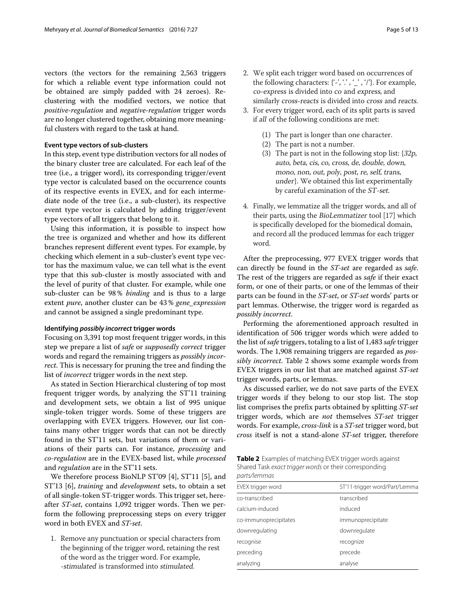vectors (the vectors for the remaining 2,563 triggers for which a reliable event type information could not be obtained are simply padded with 24 zeroes). Reclustering with the modified vectors, we notice that *positive-regulation* and *negative-regulation* trigger words are no longer clustered together, obtaining more meaningful clusters with regard to the task at hand.

#### **Event type vectors of sub-clusters**

In this step, event type distribution vectors for all nodes of the binary cluster tree are calculated. For each leaf of the tree (i.e., a trigger word), its corresponding trigger/event type vector is calculated based on the occurrence counts of its respective events in EVEX, and for each intermediate node of the tree (i.e., a sub-cluster), its respective event type vector is calculated by adding trigger/event type vectors of all triggers that belong to it.

Using this information, it is possible to inspect how the tree is organized and whether and how its different branches represent different event types. For example, by checking which element in a sub-cluster's event type vector has the maximum value, we can tell what is the event type that this sub-cluster is mostly associated with and the level of purity of that cluster. For example, while one sub-cluster can be 98 % *binding* and is thus to a large extent *pure*, another cluster can be 43 % *gene\_expression* and cannot be assigned a single predominant type.

#### <span id="page-4-1"></span>**Identifying** *possibly incorrect* **trigger words**

<span id="page-4-2"></span>Focusing on 3,391 top most frequent trigger words, in this step we prepare a list of *safe* or *supposedly correct* trigger words and regard the remaining triggers as *possibly incorrect*. This is necessary for pruning the tree and finding the list of *incorrect* trigger words in the next step.

As stated in Section [Hierarchical clustering of top most](#page-3-2) [frequent trigger words,](#page-3-2) by analyzing the ST'11 training and development sets, we obtain a list of 995 unique single-token trigger words. Some of these triggers are overlapping with EVEX triggers. However, our list contains many other trigger words that can not be directly found in the ST'11 sets, but variations of them or variations of their parts can. For instance, *processing* and *co-regulation* are in the EVEX-based list, while *processed* and *regulation* are in the ST'11 sets.

We therefore process BioNLP ST'09 [\[4\]](#page-11-2), ST'11 [\[5\]](#page-11-3), and ST'13 [\[6\]](#page-11-4), *training* and *development* sets, to obtain a set of all single-token ST-trigger words. This trigger set, hereafter *ST-set*, contains 1,092 trigger words. Then we perform the following preprocessing steps on every trigger word in both EVEX and *ST-set*.

1. Remove any punctuation or special characters from the beginning of the trigger word, retaining the rest of the word as the trigger word. For example, -stimulated is transformed into stimulated.

- 2. We split each trigger word based on occurrences of the following characters: {'-', '.' , '\_' , '/'}. For example, co-express is divided into co and express, and similarly cross-reacts is divided into cross and reacts.
- 3. For every trigger word, each of its split parts is saved if all of the following conditions are met:
	- (1) The part is longer than one character.
	- (2) The part is not a number.
	- (3) The part is not in the following stop list: {32p, auto, beta, cis, co, cross, de, double, down, mono, non, out, poly, post, re, self, trans, under}. We obtained this list experimentally by careful examination of the ST-set.
- 4. Finally, we lemmatize all the trigger words, and all of their parts, using the BioLemmatizer tool [\[17\]](#page-12-7) which is specifically developed for the biomedical domain, and record all the produced lemmas for each trigger word.

After the preprocessing, 977 EVEX trigger words that can directly be found in the *ST-set* are regarded as *safe*. The rest of the triggers are regarded as *safe* if their exact form, or one of their parts, or one of the lemmas of their parts can be found in the *ST-set*, or *ST-set* words' parts or part lemmas. Otherwise, the trigger word is regarded as *possibly incorrect*.

Performing the aforementioned approach resulted in identification of 506 trigger words which were added to the list of *safe* triggers, totaling to a list of 1,483 *safe* trigger words. The 1,908 remaining triggers are regarded as *possibly incorrect*. Table [2](#page-4-0) shows some example words from EVEX triggers in our list that are matched against *ST-set* trigger words, parts, or lemmas.

As discussed earlier, we do not save parts of the EVEX trigger words if they belong to our stop list. The stop list comprises the prefix parts obtained by splitting *ST-set* trigger words, which are *not* themselves *ST-set* trigger words. For example, *cross-link* is a *ST-set* trigger word, but *cross* itself is not a stand-alone *ST-set* trigger, therefore

<span id="page-4-0"></span>

| <b>Table 2</b> Examples of matching EVEX trigger words against |
|----------------------------------------------------------------|
| Shared Task <i>exact trigger words</i> or their corresponding  |
| parts/lemmas                                                   |

| EVEX trigger word     | ST'11-trigger word/Part/Lemma |
|-----------------------|-------------------------------|
| co-transcribed        | transcribed                   |
| calcium-induced       | induced                       |
| co-immunoprecipitates | immunoprecipitate             |
| downregulating        | downregulate                  |
| recognise             | recognize                     |
| preceding             | precede                       |
| analyzing             | analyse                       |
|                       |                               |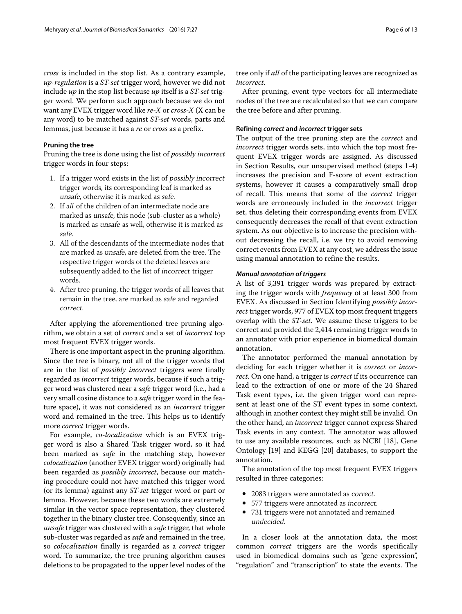*cross* is included in the stop list. As a contrary example, *up-regulation* is a *ST-set* trigger word, however we did not include *up* in the stop list because *up* itself is a *ST-set* trigger word. We perform such approach because we do not want any EVEX trigger word like *re-X* or *cross-X* (X can be any word) to be matched against *ST-set* words, parts and lemmas, just because it has a *re* or *cross* as a prefix.

#### <span id="page-5-0"></span>**Pruning the tree**

Pruning the tree is done using the list of *possibly incorrect* trigger words in four steps:

- 1. If a trigger word exists in the list of possibly incorrect trigger words, its corresponding leaf is marked as unsafe, otherwise it is marked as safe.
- 2. If all of the children of an intermediate node are marked as unsafe, this node (sub-cluster as a whole) is marked as unsafe as well, otherwise it is marked as safe.
- 3. All of the descendants of the intermediate nodes that are marked as unsafe, are deleted from the tree. The respective trigger words of the deleted leaves are subsequently added to the list of incorrect trigger words.
- 4. After tree pruning, the trigger words of all leaves that remain in the tree, are marked as safe and regarded correct.

After applying the aforementioned tree pruning algorithm, we obtain a set of *correct* and a set of *incorrect* top most frequent EVEX trigger words.

There is one important aspect in the pruning algorithm. Since the tree is binary, not all of the trigger words that are in the list of *possibly incorrect* triggers were finally regarded as *incorrect* trigger words, because if such a trigger word was clustered near a *safe* trigger word (i.e., had a very small cosine distance to a *safe* trigger word in the feature space), it was not considered as an *incorrect* trigger word and remained in the tree. This helps us to identify more *correct* trigger words.

For example, *co-localization* which is an EVEX trigger word is also a Shared Task trigger word, so it had been marked as *safe* in the matching step, however *colocalization* (another EVEX trigger word) originally had been regarded as *possibly incorrect*, because our matching procedure could not have matched this trigger word (or its lemma) against any *ST-set* trigger word or part or lemma. However, because these two words are extremely similar in the vector space representation, they clustered together in the binary cluster tree. Consequently, since an *unsafe* trigger was clustered with a *safe* trigger, that whole sub-cluster was regarded as *safe* and remained in the tree, so *colocalization* finally is regarded as a *correct* trigger word. To summarize, the tree pruning algorithm causes deletions to be propagated to the upper level nodes of the tree only if *all* of the participating leaves are recognized as *incorrect*.

After pruning, event type vectors for all intermediate nodes of the tree are recalculated so that we can compare the tree before and after pruning.

#### **Refining** *correct* **and** *incorrect* **trigger sets**

The output of the tree pruning step are the *correct* and *incorrect* trigger words sets, into which the top most frequent EVEX trigger words are assigned. As discussed in Section [Results,](#page-7-0) our unsupervised method (steps 1-4) increases the precision and F-score of event extraction systems, however it causes a comparatively small drop of recall. This means that some of the *correct* trigger words are erroneously included in the *incorrect* trigger set, thus deleting their corresponding events from EVEX consequently decreases the recall of that event extraction system. As our objective is to increase the precision without decreasing the recall, i.e. we try to avoid removing correct events from EVEX at any cost, we address the issue using manual annotation to refine the results.

## *Manual annotation of triggers*

A list of 3,391 trigger words was prepared by extracting the trigger words with *frequency* of at least 300 from EVEX. As discussed in Section Identifying *possibly incorrect* trigger words, 977 of EVEX top most frequent triggers overlap with the *ST-set*. We assume these triggers to be correct and provided the 2,414 remaining trigger words to an annotator with prior experience in biomedical domain annotation.

The annotator performed the manual annotation by deciding for each trigger whether it is *correct* or *incorrect*. On one hand, a trigger is *correct* if its occurrence can lead to the extraction of one or more of the 24 Shared Task event types, i.e. the given trigger word can represent at least one of the ST event types in some context, although in another context they might still be invalid. On the other hand, an *incorrect* trigger cannot express Shared Task events in any context. The annotator was allowed to use any available resources, such as NCBI [\[18\]](#page-12-8), Gene Ontology [\[19\]](#page-12-9) and KEGG [\[20\]](#page-12-10) databases, to support the annotation.

The annotation of the top most frequent EVEX triggers resulted in three categories:

- 2083 triggers were annotated as *correct*.
- 577 triggers were annotated as incorrect.
- 731 triggers were not annotated and remained undecided.

In a closer look at the annotation data, the most common *correct* triggers are the words specifically used in biomedical domains such as "gene expression", "regulation" and "transcription" to state the events. The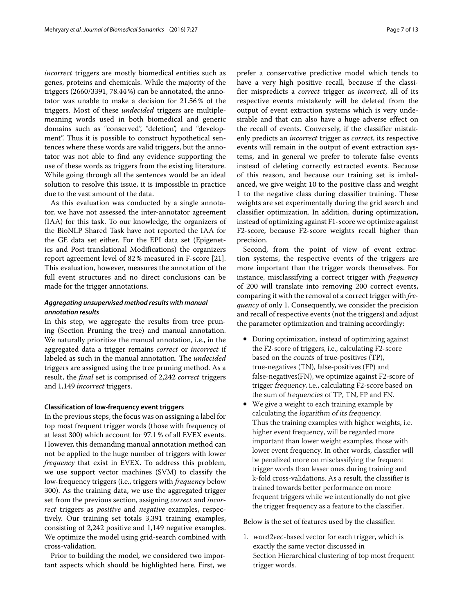*incorrect* triggers are mostly biomedical entities such as genes, proteins and chemicals. While the majority of the triggers (2660/3391, 78.44 %) can be annotated, the annotator was unable to make a decision for 21.56 % of the triggers. Most of these *undecided* triggers are multiplemeaning words used in both biomedical and generic domains such as "conserved", "deletion", and "development". Thus it is possible to construct hypothetical sentences where these words are valid triggers, but the annotator was not able to find any evidence supporting the use of these words as triggers from the existing literature. While going through all the sentences would be an ideal solution to resolve this issue, it is impossible in practice due to the vast amount of the data.

As this evaluation was conducted by a single annotator, we have not assessed the inter-annotator agreement (IAA) for this task. To our knowledge, the organizers of the BioNLP Shared Task have not reported the IAA for the GE data set either. For the EPI data set (Epigenetics and Post-translational Modifications) the organizers report agreement level of 82 % measured in F-score [\[21\]](#page-12-11). This evaluation, however, measures the annotation of the full event structures and no direct conclusions can be made for the trigger annotations.

## *Aggregating unsupervised method results with manual annotation results*

<span id="page-6-0"></span>In this step, we aggregate the results from tree pruning (Section [Pruning the tree\)](#page-5-0) and manual annotation. We naturally prioritize the manual annotation, i.e., in the aggregated data a trigger remains *correct* or *incorrect* if labeled as such in the manual annotation. The *undecided* triggers are assigned using the tree pruning method. As a result, the *final* set is comprised of 2,242 *correct* triggers and 1,149 *incorrect* triggers.

#### **Classification of low-frequency event triggers**

<span id="page-6-1"></span>In the previous steps, the focus was on assigning a label for top most frequent trigger words (those with frequency of at least 300) which account for 97.1 % of all EVEX events. However, this demanding manual annotation method can not be applied to the huge number of triggers with lower *frequency* that exist in EVEX. To address this problem, we use support vector machines (SVM) to classify the low-frequency triggers (i.e., triggers with *frequency* below 300). As the training data, we use the aggregated trigger set from the previous section, assigning *correct* and *incorrect* triggers as *positive* and *negative* examples, respectively. Our training set totals 3,391 training examples, consisting of 2,242 positive and 1,149 negative examples. We optimize the model using grid-search combined with cross-validation.

Prior to building the model, we considered two important aspects which should be highlighted here. First, we prefer a conservative predictive model which tends to have a very high positive recall, because if the classifier mispredicts a *correct* trigger as *incorrect*, all of its respective events mistakenly will be deleted from the output of event extraction systems which is very undesirable and that can also have a huge adverse effect on the recall of events. Conversely, if the classifier mistakenly predicts an *incorrect* trigger as *correct*, its respective events will remain in the output of event extraction systems, and in general we prefer to tolerate false events instead of deleting correctly extracted events. Because of this reason, and because our training set is imbalanced, we give weight 10 to the positive class and weight 1 to the negative class during classifier training. These weights are set experimentally during the grid search and classifier optimization. In addition, during optimization, instead of optimizing against F1-score we optimize against F2-score, because F2-score weights recall higher than precision.

Second, from the point of view of event extraction systems, the respective events of the triggers are more important than the trigger words themselves. For instance, misclassifying a correct trigger with *frequency* of 200 will translate into removing 200 correct events, comparing it with the removal of a correct trigger with *frequency* of only 1. Consequently, we consider the precision and recall of respective events (not the triggers) and adjust the parameter optimization and training accordingly:

- During optimization, instead of optimizing against the F2-score of triggers, i.e., calculating F2-score based on the counts of true-positives (TP), true-negatives (TN), false-positives (FP) and false-negatives(FN), we optimize against F2-score of trigger frequency, i.e., calculating F2-score based on the sum of frequencies of TP, TN, FP and FN.
- We give a weight to each training example by calculating the logarithm of its frequency. Thus the training examples with higher weights, i.e. higher event frequency, will be regarded more important than lower weight examples, those with lower event frequency. In other words, classifier will be penalized more on misclassifying the frequent trigger words than lesser ones during training and k-fold cross-validations. As a result, the classifier is trained towards better performance on more frequent triggers while we intentionally do not give the trigger frequency as a feature to the classifier.

Below is the set of features used by the classifier.

1. word2vec-based vector for each trigger, which is exactly the same vector discussed in Section [Hierarchical clustering of top most frequent](#page-3-2) [trigger words.](#page-3-2)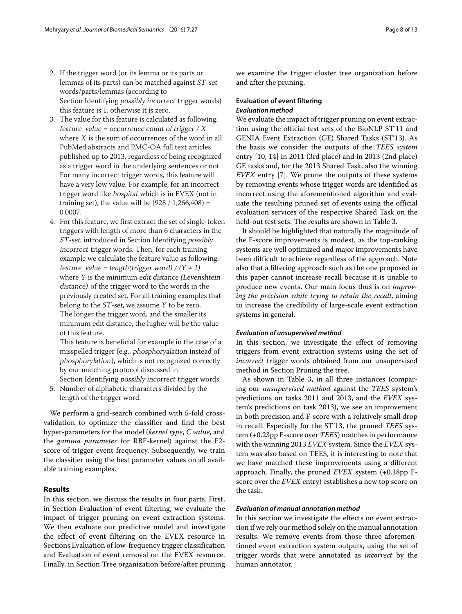- 2. If the trigger word (or its lemma or its parts or lemmas of its parts) can be matched against ST-set words/parts/lemmas (according to Section Identifying possibly incorrect [trigger words\)](#page-4-1) this feature is 1, otherwise it is zero.
- 3. The value for this feature is calculated as following: feature value = occurrence count of trigger /  $X$ where  $X$  is the sum of occurrences of the word in all PubMed abstracts and PMC-OA full text articles published up to 2013, regardless of being recognized as a trigger word in the underlying sentences or not. For many incorrect trigger words, this feature will have a very low value. For example, for an incorrect trigger word like hospital which is in EVEX (not in training set), the value will be  $(928 / 1,266,408)$  = 0.0007.
- 4. For this feature, we first extract the set of single-token triggers with length of more than 6 characters in the ST-set, introduced in Section [Identifying](#page-4-2) possibly incorrect [trigger words.](#page-4-2) Then, for each training example we calculate the feature value as following: feature\_value = length(trigger word) /  $(Y + 1)$ where Y is the minimum edit distance (Levenshtein distance) of the trigger word to the words in the previously created set. For all training examples that belong to the ST-set, we assume <sup>Y</sup> to be zero. The longer the trigger word, and the smaller its minimum edit distance, the higher will be the value of this feature.

This feature is beneficial for example in the case of a misspelled trigger (e.g., phosphoryalation instead of phosphorylation), which is not recognized correctly by our matching protocol discussed in Section Identifying possibly incorrect [trigger words.](#page-4-1)

5. Number of alphabetic characters divided by the length of the trigger word.

We perform a grid-search combined with 5-fold crossvalidation to optimize the classifier and find the best hyper-parameters for the model (*kernel type*, *C value*, and the *gamma parameter* for RBF-kernel) against the F2 score of trigger event frequency. Subsequently, we train the classifier using the best parameter values on all available training examples.

## <span id="page-7-0"></span>**Results**

In this section, we discuss the results in four parts. First, in Section [Evaluation of event filtering,](#page-7-1) we evaluate the impact of trigger pruning on event extraction systems. We then evaluate our predictive model and investigate the effect of event filtering on the EVEX resource in Sections [Evaluation of low-frequency trigger classification](#page-8-0) and [Evaluation of event removal on the EVEX resource.](#page-10-0) Finally, in Section [Tree organization before/after pruning](#page-10-1) we examine the trigger cluster tree organization before and after the pruning.

## <span id="page-7-1"></span>**Evaluation of event filtering** *Evaluation method*

We evaluate the impact of trigger pruning on event extraction using the official test sets of the BioNLP ST'11 and GENIA Event Extraction (GE) Shared Tasks (ST'13). As the basis we consider the outputs of the *TEES system* entry [\[10,](#page-11-7) [14\]](#page-12-4) in 2011 (3rd place) and in 2013 (2nd place) GE tasks and, for the 2013 Shared Task, also the winning *EVEX* entry [\[7\]](#page-11-5). We prune the outputs of these systems by removing events whose trigger words are identified as incorrect using the aforementioned algorithm and evaluate the resulting pruned set of events using the official evaluation services of the respective Shared Task on the held-out test sets. The results are shown in Table [3.](#page-8-1)

It should be highlighted that naturally the magnitude of the F-score improvements is modest, as the top-ranking systems are well optimized and major improvements have been difficult to achieve regardless of the approach. Note also that a filtering approach such as the one proposed in this paper cannot increase recall because it is unable to produce new events. Our main focus thus is on *improving the precision while trying to retain the recall*, aiming to increase the credibility of large-scale event extraction systems in general.

#### *Evaluation of unsupervised method*

In this section, we investigate the effect of removing triggers from event extraction systems using the set of *incorrect* trigger words obtained from our unsupervised method in Section [Pruning the tree.](#page-5-0)

As shown in Table [3,](#page-8-1) in all three instances (comparing our *unsupervised method* against the *TEES* system's predictions on tasks 2011 and 2013, and the *EVEX* system's predictions on task 2013), we see an improvement in both precision and F-score with a relatively small drop in recall. Especially for the ST'13, the pruned *TEES* system (+0.23pp F-score over *TEES*) matches in performance with the winning 2013 *EVEX* system. Since the *EVEX* system was also based on TEES, it is interesting to note that we have matched these improvements using a different approach. Finally, the pruned *EVEX* system (+0.18pp Fscore over the *EVEX* entry) establishes a new top score on the task.

## *Evaluation of manual annotation method*

In this section we investigate the effects on event extraction if we rely our method solely on the manual annotation results. We remove events from those three aforementioned event extraction system outputs, using the set of trigger words that were annotated as *incorrect* by the human annotator.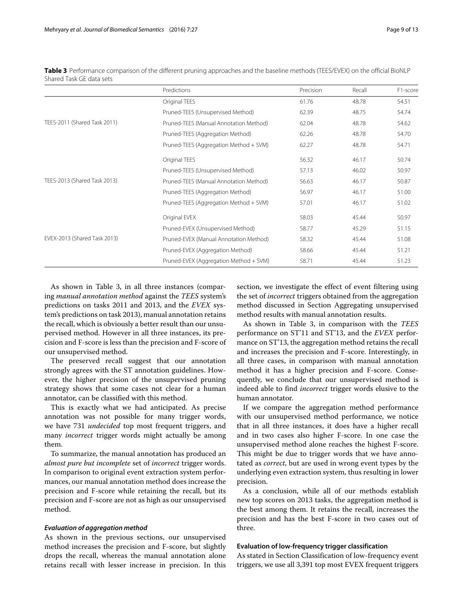|                              | Predictions                            | Precision | Recall | F1-score |
|------------------------------|----------------------------------------|-----------|--------|----------|
|                              | Original TEES                          | 61.76     | 48.78  | 54.51    |
| TEES-2011 (Shared Task 2011) | Pruned-TEES (Unsupervised Method)      | 62.39     | 48.75  | 54.74    |
|                              | Pruned-TEES (Manual Annotation Method) | 62.04     | 48.78  | 54.62    |
|                              | Pruned-TEES (Aggregation Method)       | 62.26     | 48.78  | 54.70    |
|                              | Pruned-TEES (Aggregation Method + SVM) | 62.27     | 48.78  | 54.71    |
|                              | Original TEES                          | 56.32     | 46.17  | 50.74    |
| TEES-2013 (Shared Task 2013) | Pruned-TEES (Unsupervised Method)      | 57.13     | 46.02  | 50.97    |
|                              | Pruned-TEES (Manual Annotation Method) | 56.63     | 46.17  | 50.87    |
|                              | Pruned-TEES (Aggregation Method)       | 56.97     | 46.17  | 51.00    |
|                              | Pruned-TEES (Aggregation Method + SVM) | 57.01     | 46.17  | 51.02    |
| EVEX-2013 (Shared Task 2013) | Original EVEX                          | 58.03     | 45.44  | 50.97    |
|                              | Pruned-EVEX (Unsupervised Method)      | 58.77     | 45.29  | 51.15    |
|                              | Pruned-EVEX (Manual Annotation Method) | 58.32     | 45.44  | 51.08    |
|                              | Pruned-EVEX (Aggregation Method)       | 58.66     | 45.44  | 51.21    |
|                              | Pruned-EVEX (Aggregation Method + SVM) | 58.71     | 45.44  | 51.23    |

<span id="page-8-1"></span>**Table 3** Performance comparison of the different pruning approaches and the baseline methods (TEES/EVEX) on the official BioNLP Shared Task GE data sets

As shown in Table [3,](#page-8-1) in all three instances (comparing *manual annotation method* against the *TEES* system's predictions on tasks 2011 and 2013, and the *EVEX* system's predictions on task 2013), manual annotation retains the recall, which is obviously a better result than our unsupervised method. However in all three instances, its precision and F-score is less than the precision and F-score of our unsupervised method.

The preserved recall suggest that our annotation strongly agrees with the ST annotation guidelines. However, the higher precision of the unsupervised pruning strategy shows that some cases not clear for a human annotator, can be classified with this method.

This is exactly what we had anticipated. As precise annotation was not possible for many trigger words, we have 731 *undecided* top most frequent triggers, and many *incorrect* trigger words might actually be among them.

To summarize, the manual annotation has produced an *almost pure but incomplete* set of *incorrect* trigger words. In comparison to original event extraction system performances, our manual annotation method does increase the precision and F-score while retaining the recall, but its precision and F-score are not as high as our unsupervised method.

#### *Evaluation of aggregation method*

As shown in the previous sections, our unsupervised method increases the precision and F-score, but slightly drops the recall, whereas the manual annotation alone retains recall with lesser increase in precision. In this

section, we investigate the effect of event filtering using the set of *incorrect* triggers obtained from the aggregation method discussed in Section [Aggregating unsupervised](#page-6-0) [method results with manual annotation results.](#page-6-0)

As shown in Table [3,](#page-8-1) in comparison with the *TEES* performance on ST'11 and ST'13, and the *EVEX* performance on ST'13, the aggregation method retains the recall and increases the precision and F-score. Interestingly, in all three cases, in comparison with manual annotation method it has a higher precision and F-score. Consequently, we conclude that our unsupervised method is indeed able to find *incorrect* trigger words elusive to the human annotator.

If we compare the aggregation method performance with our unsupervised method performance, we notice that in all three instances, it does have a higher recall and in two cases also higher F-score. In one case the unsupervised method alone reaches the highest F-score. This might be due to trigger words that we have annotated as *correct*, but are used in wrong event types by the underlying even extraction system, thus resulting in lower precision.

As a conclusion, while all of our methods establish new top scores on 2013 tasks, the aggregation method is the best among them. It retains the recall, increases the precision and has the best F-score in two cases out of three.

#### <span id="page-8-0"></span>**Evaluation of low-frequency trigger classification**

As stated in Section [Classification of low-frequency event](#page-6-1) [triggers,](#page-6-1) we use all 3,391 top most EVEX frequent triggers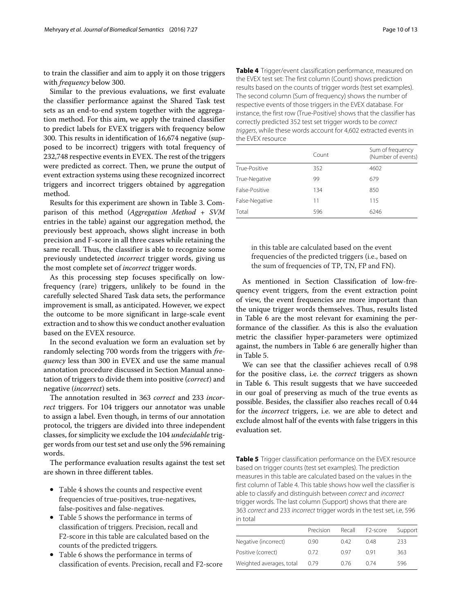to train the classifier and aim to apply it on those triggers with *frequency* below 300.

Similar to the previous evaluations, we first evaluate the classifier performance against the Shared Task test sets as an end-to-end system together with the aggregation method. For this aim, we apply the trained classifier to predict labels for EVEX triggers with frequency below 300. This results in identification of 16,674 negative (supposed to be incorrect) triggers with total frequency of 232,748 respective events in EVEX. The rest of the triggers were predicted as correct. Then, we prune the output of event extraction systems using these recognized incorrect triggers and incorrect triggers obtained by aggregation method.

Results for this experiment are shown in Table [3.](#page-8-1) Comparison of this method (*Aggregation Method + SVM* entries in the table) against our aggregation method, the previously best approach, shows slight increase in both precision and F-score in all three cases while retaining the same recall. Thus, the classifier is able to recognize some previously undetected *incorrect* trigger words, giving us the most complete set of *incorrect* trigger words.

As this processing step focuses specifically on lowfrequency (rare) triggers, unlikely to be found in the carefully selected Shared Task data sets, the performance improvement is small, as anticipated. However, we expect the outcome to be more significant in large-scale event extraction and to show this we conduct another evaluation based on the EVEX resource.

In the second evaluation we form an evaluation set by randomly selecting 700 words from the triggers with *frequency* less than 300 in EVEX and use the same manual annotation procedure discussed in Section Manual annotation of triggers to divide them into positive (*correct*) and negative (*incorrect*) sets.

The annotation resulted in 363 *correct* and 233 *incorrect* triggers. For 104 triggers our annotator was unable to assign a label. Even though, in terms of our annotation protocol, the triggers are divided into three independent classes, for simplicity we exclude the 104 *undecidable* trigger words from our test set and use only the 596 remaining words.

The performance evaluation results against the test set are shown in three different tables.

- Table [4](#page-9-0) shows the counts and respective event frequencies of true-positives, true-negatives, false-positives and false-negatives.
- Table [5](#page-9-1) shows the performance in terms of classification of triggers. Precision, recall and F2-score in this table are calculated based on the counts of the predicted triggers.
- Table [6](#page-10-2) shows the performance in terms of classification of events. Precision, recall and F2-score

<span id="page-9-0"></span>**Table 4** Trigger/event classification performance, measured on the EVEX test set: The first column (Count) shows prediction results based on the counts of trigger words (test set examples). The second column (Sum of frequency) shows the number of respective events of those triggers in the EVEX database. For instance, the first row (True-Positive) shows that the classifier has correctly predicted 352 test set trigger words to be correct triggers, while these words account for 4,602 extracted events in the EVEX resource

|                | Count | Sum of frequency<br>(Number of events) |
|----------------|-------|----------------------------------------|
| True-Positive  | 352   | 4602                                   |
| True-Negative  | 99    | 679                                    |
| False-Positive | 134   | 850                                    |
| False-Negative | 11    | 115                                    |
| Total          | 596   | 6246                                   |

in this table are calculated based on the event frequencies of the predicted triggers (i.e., based on the sum of frequencies of TP, TN, FP and FN).

As mentioned in Section Classification of low-frequency event triggers, from the event extraction point of view, the event frequencies are more important than the unique trigger words themselves. Thus, results listed in Table [6](#page-10-2) are the most relevant for examining the performance of the classifier. As this is also the evaluation metric the classifier hyper-parameters were optimized against, the numbers in Table [6](#page-10-2) are generally higher than in Table [5.](#page-9-1)

We can see that the classifier achieves recall of 0.98 for the positive class, i.e. the *correct* triggers as shown in Table [6.](#page-10-2) This result suggests that we have succeeded in our goal of preserving as much of the true events as possible. Besides, the classifier also reaches recall of 0.44 for the *incorrect* triggers, i.e. we are able to detect and exclude almost half of the events with false triggers in this evaluation set.

<span id="page-9-1"></span>**Table 5** Trigger classification performance on the EVEX resource based on trigger counts (test set examples). The prediction measures in this table are calculated based on the values in the first column of Table [4.](#page-9-0) This table shows how well the classifier is able to classify and distinguish between correct and incorrect trigger words. The last column (Support) shows that there are 363 correct and 233 incorrect trigger words in the test set, i.e, 596 in total

|                          | Precision | Recall | F <sub>2</sub> -score | Support |
|--------------------------|-----------|--------|-----------------------|---------|
| Negative (incorrect)     | 0.90      | 042    | 048                   | 233     |
| Positive (correct)       | 0.72      | O 97   | O 91                  | 363     |
| Weighted averages, total | 0.79      | 0.76   | O 74                  | 596     |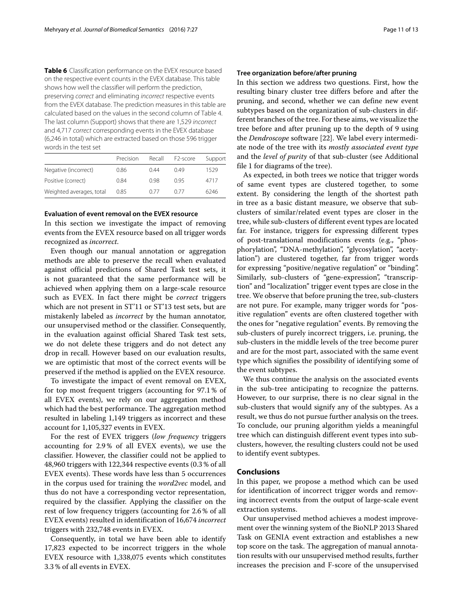<span id="page-10-2"></span>**Table 6** Classification performance on the EVEX resource based on the respective event counts in the EVEX database. This table shows how well the classifier will perform the prediction, preserving correct and eliminating incorrect respective events from the EVEX database. The prediction measures in this table are calculated based on the values in the second column of Table [4.](#page-9-0) The last column (Support) shows that there are 1,529 incorrect and 4,717 correct corresponding events in the EVEX database (6,246 in total) which are extracted based on those 596 trigger words in the test set

| Precision | Recall | F <sub>2</sub> -score | Support |
|-----------|--------|-----------------------|---------|
| 0.86      | 0.44   | 049                   | 1529    |
| 0.84      | O 98   | O 95                  | 4717    |
| 0.85      | 0.77   | O 77                  | 6246    |
|           |        |                       |         |

#### <span id="page-10-0"></span>**Evaluation of event removal on the EVEX resource**

In this section we investigate the impact of removing events from the EVEX resource based on all trigger words recognized as *incorrect*.

Even though our manual annotation or aggregation methods are able to preserve the recall when evaluated against official predictions of Shared Task test sets, it is not guaranteed that the same performance will be achieved when applying them on a large-scale resource such as EVEX. In fact there might be *correct* triggers which are not present in ST'11 or ST'13 test sets, but are mistakenly labeled as *incorrect* by the human annotator, our unsupervised method or the classifier. Consequently, in the evaluation against official Shared Task test sets, we do not delete these triggers and do not detect any drop in recall. However based on our evaluation results, we are optimistic that most of the correct events will be preserved if the method is applied on the EVEX resource.

To investigate the impact of event removal on EVEX, for top most frequent triggers (accounting for 97.1 % of all EVEX events), we rely on our aggregation method which had the best performance. The aggregation method resulted in labeling 1,149 triggers as incorrect and these account for 1,105,327 events in EVEX.

For the rest of EVEX triggers (*low frequency* triggers accounting for 2.9 % of all EVEX events), we use the classifier. However, the classifier could not be applied to 48,960 triggers with 122,344 respective events (0.3 % of all EVEX events). These words have less than 5 occurrences in the corpus used for training the *word2vec* model, and thus do not have a corresponding vector representation, required by the classifier. Applying the classifier on the rest of low frequency triggers (accounting for 2.6 % of all EVEX events) resulted in identification of 16,674 *incorrect* triggers with 232,748 events in EVEX.

Consequently, in total we have been able to identify 17,823 expected to be incorrect triggers in the whole EVEX resource with 1,338,075 events which constitutes 3.3 % of all events in EVEX.

#### <span id="page-10-1"></span>**Tree organization before/after pruning**

In this section we address two questions. First, how the resulting binary cluster tree differs before and after the pruning, and second, whether we can define new event subtypes based on the organization of sub-clusters in different branches of the tree. For these aims, we visualize the tree before and after pruning up to the depth of 9 using the *Dendroscope* software [\[22\]](#page-12-12). We label every intermediate node of the tree with its *mostly associated event type* and the *level of purity* of that sub-cluster (see Additional file 1 for diagrams of the tree).

As expected, in both trees we notice that trigger words of same event types are clustered together, to some extent. By considering the length of the shortest path in tree as a basic distant measure, we observe that subclusters of similar/related event types are closer in the tree, while sub-clusters of different event types are located far. For instance, triggers for expressing different types of post-translational modifications events (e.g., "phosphorylation", "DNA-methylation", "glycosylation", "acetylation") are clustered together, far from trigger words for expressing "positive/negative regulation" or "binding". Similarly, sub-clusters of "gene-expression", "transcription" and "localization" trigger event types are close in the tree. We observe that before pruning the tree, sub-clusters are not pure. For example, many trigger words for "positive regulation" events are often clustered together with the ones for "negative regulation" events. By removing the sub-clusters of purely incorrect triggers, i.e. pruning, the sub-clusters in the middle levels of the tree become purer and are for the most part, associated with the same event type which signifies the possibility of identifying some of the event subtypes.

We thus continue the analysis on the associated events in the sub-tree anticipating to recognize the patterns. However, to our surprise, there is no clear signal in the sub-clusters that would signify any of the subtypes. As a result, we thus do not pursue further analysis on the trees. To conclude, our pruning algorithm yields a meaningful tree which can distinguish different event types into subclusters, however, the resulting clusters could not be used to identify event subtypes.

## **Conclusions**

In this paper, we propose a method which can be used for identification of incorrect trigger words and removing incorrect events from the output of large-scale event extraction systems.

Our unsupervised method achieves a modest improvement over the winning system of the BioNLP 2013 Shared Task on GENIA event extraction and establishes a new top score on the task. The aggregation of manual annotation results with our unsupervised method results, further increases the precision and F-score of the unsupervised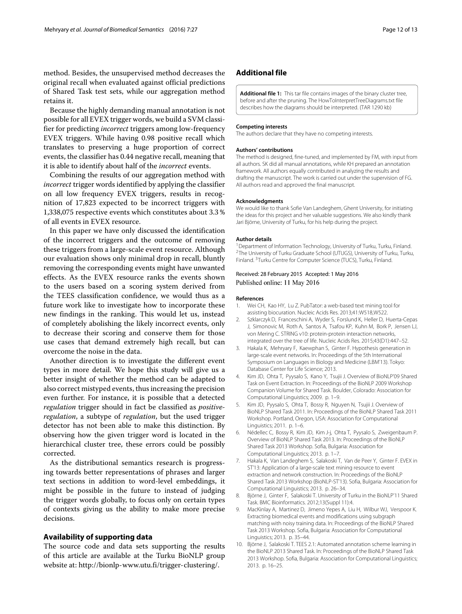method. Besides, the unsupervised method decreases the original recall when evaluated against official predictions of Shared Task test sets, while our aggregation method retains it.

Because the highly demanding manual annotation is not possible for all EVEX trigger words, we build a SVM classifier for predicting *incorrect* triggers among low-frequency EVEX triggers. While having 0.98 positive recall which translates to preserving a huge proportion of correct events, the classifier has 0.44 negative recall, meaning that it is able to identify about half of the *incorrect* events.

Combining the results of our aggregation method with *incorrect* trigger words identified by applying the classifier on all low frequency EVEX triggers, results in recognition of 17,823 expected to be incorrect triggers with 1,338,075 respective events which constitutes about 3.3 % of all events in EVEX resource.

In this paper we have only discussed the identification of the incorrect triggers and the outcome of removing these triggers from a large-scale event resource. Although our evaluation shows only minimal drop in recall, bluntly removing the corresponding events might have unwanted effects. As the EVEX resource ranks the events shown to the users based on a scoring system derived from the TEES classification confidence, we would thus as a future work like to investigate how to incorporate these new findings in the ranking. This would let us, instead of completely abolishing the likely incorrect events, only to decrease their scoring and conserve them for those use cases that demand extremely high recall, but can overcome the noise in the data.

Another direction is to investigate the different event types in more detail. We hope this study will give us a better insight of whether the method can be adapted to also correct mistyped events, thus increasing the precision even further. For instance, it is possible that a detected *regulation* trigger should in fact be classified as *positiveregulation*, a subtype of *regulation*, but the used trigger detector has not been able to make this distinction. By observing how the given trigger word is located in the hierarchical cluster tree, these errors could be possibly corrected.

As the distributional semantics research is progressing towards better representations of phrases and larger text sections in addition to word-level embeddings, it might be possible in the future to instead of judging the trigger words globally, to focus only on certain types of contexts giving us the ability to make more precise decisions.

## **Availability of supporting data**

The source code and data sets supporting the results of this article are available at the Turku BioNLP group website at: [http://bionlp-www.utu.fi/trigger-clustering/.](http://bionlp-www.utu.fi/trigger-clustering/)

# **Additional file**

**[Additional file 1:](http://dx.doi.org/10.1186/s13326-016-0070-4)** This tar file contains images of the binary cluster tree, before and after the pruning. The HowToInterpretTreeDiagrams.txt file describes how the diagrams should be interpreted. (TAR 1290 kb)

#### **Competing interests**

The authors declare that they have no competing interests.

#### **Authors' contributions**

The method is designed, fine-tuned, and implemented by FM, with input from all authors. SK did all manual annotations, while KH prepared an annotation framework. All authors equally contributed in analyzing the results and drafting the manuscript. The work is carried out under the supervision of FG. All authors read and approved the final manuscript.

#### **Acknowledgments**

We would like to thank Sofie Van Landeghem, Ghent University, for initiating the ideas for this project and her valuable suggestions. We also kindly thank Jari Björne, University of Turku, for his help during the project.

#### **Author details**

1Department of Information Technology, University of Turku, Turku, Finland. 2The University of Turku Graduate School (UTUGS), University of Turku, Turku, Finland. 3Turku Centre for Computer Science (TUCS), Turku, Finland.

## Received: 28 February 2015 Accepted: 1 May 2016 Published online: 11 May 2016

#### **References**

- <span id="page-11-0"></span>1. Wei CH, Kao HY, Lu Z. PubTator: a web-based text mining tool for assisting biocuration. Nucleic Acids Res. 2013;41:W518,W522.
- 2. Szklarczyk D, Franceschini A, Wyder S, Forslund K, Heller D, Huerta-Cepas J, Simonovic M, Roth A, Santos A, Tsafou KP, Kuhn M, Bork P, Jensen LJ, von Mering C. STRING v10: protein-protein interaction networks, integrated over the tree of life. Nucleic Acids Res. 2015;43(D1):447–52.
- <span id="page-11-1"></span>3. Hakala K, Mehryary F, Kaewphan S, Ginter F. Hypothesis generation in large-scale event networks. In: Proceedings of the 5th International Symposium on Languages in Biology and Medicine (LBM'13). Tokyo: Database Center for Life Science; 2013.
- <span id="page-11-2"></span>4. Kim JD, Ohta T, Pyysalo S, Kano Y, Tsujii J. Overview of BioNLP'09 Shared Task on Event Extraction. In: Proceedings of the BioNLP 2009 Workshop Companion Volume for Shared Task. Boulder, Colorado: Association for Computational Linguistics; 2009. p. 1–9.
- <span id="page-11-3"></span>Kim JD, Pyysalo S, Ohta T, Bossy R, Nguyen N, Tsujii J. Overview of BioNLP Shared Task 2011. In: Proceedings of the BioNLP Shared Task 2011 Workshop. Portland, Oregon, USA: Association for Computational Linguistics; 2011. p. 1–6.
- <span id="page-11-4"></span>6. Nédellec C, Bossy R, Kim JD, Kim J-j, Ohta T, Pyysalo S, Zweigenbaum P. Overview of BioNLP Shared Task 2013. In: Proceedings of the BioNLP Shared Task 2013 Workshop. Sofia, Bulgaria: Association for Computational Linguistics; 2013. p. 1–7.
- <span id="page-11-5"></span>7. Hakala K, Van Landeghem S, Salakoski T, Van de Peer Y, Ginter F. EVEX in ST'13: Application of a large-scale text mining resource to event extraction and network construction. In: Proceedings of the BioNLP Shared Task 2013 Workshop (BioNLP-ST'13). Sofia, Bulgaria: Association for Computational Linguistics; 2013. p. 26–34.
- 8. Björne J, Ginter F, Salakoski T. University of Turku in the BioNLP'11 Shared Task. BMC Bioinformatics. 2012;13(Suppl 11):4.
- <span id="page-11-6"></span>MacKinlay A, Martinez D, Jimeno Yepes A, Liu H, Wilbur WJ, Verspoor K. Extracting biomedical events and modifications using subgraph matching with noisy training data. In: Proceedings of the BioNLP Shared Task 2013 Workshop. Sofia, Bulgaria: Association for Computational Linguistics; 2013. p. 35–44.
- <span id="page-11-7"></span>10. Björne J, Salakoski T. TEES 2.1: Automated annotation scheme learning in the BioNLP 2013 Shared Task. In: Proceedings of the BioNLP Shared Task 2013 Workshop. Sofia, Bulgaria: Association for Computational Linguistics; 2013. p. 16–25.